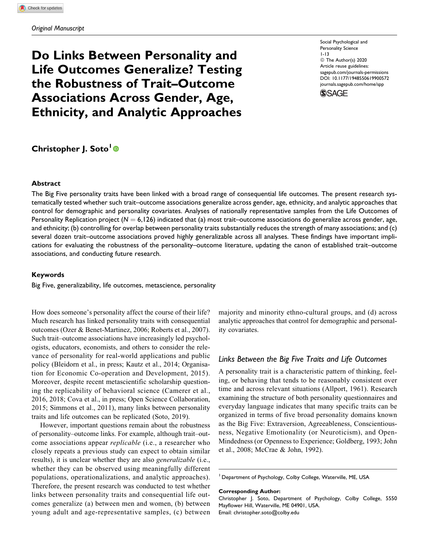# Do Links Between Personality and Life Outcomes Generalize? Testing the Robustness of Trait–Outcome Associations Across Gender, Age, Ethnicity, and Analytic Approaches

Social Psychological and Personality Science 1-13 © The Author(s) 2020 Article reuse guidelines: sagepub.com/journals-permissions DOI: 10.1177/1948550619900572 journals.sagepub.com/home/spp



## Christopher J. Soto<sup>1</sup><sup>®</sup>

#### Abstract

The Big Five personality traits have been linked with a broad range of consequential life outcomes. The present research systematically tested whether such trait–outcome associations generalize across gender, age, ethnicity, and analytic approaches that control for demographic and personality covariates. Analyses of nationally representative samples from the Life Outcomes of Personality Replication project ( $N = 6,126$ ) indicated that (a) most trait–outcome associations do generalize across gender, age, and ethnicity; (b) controlling for overlap between personality traits substantially reduces the strength of many associations; and (c) several dozen trait–outcome associations proved highly generalizable across all analyses. These findings have important implications for evaluating the robustness of the personality–outcome literature, updating the canon of established trait–outcome associations, and conducting future research.

#### Keywords

Big Five, generalizability, life outcomes, metascience, personality

How does someone's personality affect the course of their life? Much research has linked personality traits with consequential outcomes (Ozer & Benet-Martinez, 2006; Roberts et al., 2007). Such trait–outcome associations have increasingly led psychologists, educators, economists, and others to consider the relevance of personality for real-world applications and public policy (Bleidorn et al., in press; Kautz et al., 2014; Organisation for Economic Co-operation and Development, 2015). Moreover, despite recent metascientific scholarship questioning the replicability of behavioral science (Camerer et al., 2016, 2018; Cova et al., in press; Open Science Collaboration, 2015; Simmons et al., 2011), many links between personality traits and life outcomes can be replicated (Soto, 2019).

However, important questions remain about the robustness of personality–outcome links. For example, although trait–outcome associations appear replicable (i.e., a researcher who closely repeats a previous study can expect to obtain similar results), it is unclear whether they are also *generalizable* (i.e., whether they can be observed using meaningfully different populations, operationalizations, and analytic approaches). Therefore, the present research was conducted to test whether links between personality traits and consequential life outcomes generalize (a) between men and women, (b) between young adult and age-representative samples, (c) between majority and minority ethno-cultural groups, and (d) across analytic approaches that control for demographic and personality covariates.

## Links Between the Big Five Traits and Life Outcomes

A personality trait is a characteristic pattern of thinking, feeling, or behaving that tends to be reasonably consistent over time and across relevant situations (Allport, 1961). Research examining the structure of both personality questionnaires and everyday language indicates that many specific traits can be organized in terms of five broad personality domains known as the Big Five: Extraversion, Agreeableness, Conscientiousness, Negative Emotionality (or Neuroticism), and Open-Mindedness (or Openness to Experience; Goldberg, 1993; John et al., 2008; McCrae & John, 1992).

<sup>1</sup> Department of Psychology, Colby College, Waterville, ME, USA

#### Corresponding Author:

Christopher J. Soto, Department of Psychology, Colby College, 5550 Mayflower Hill, Waterville, ME 04901, USA. Email: christopher.soto@colby.edu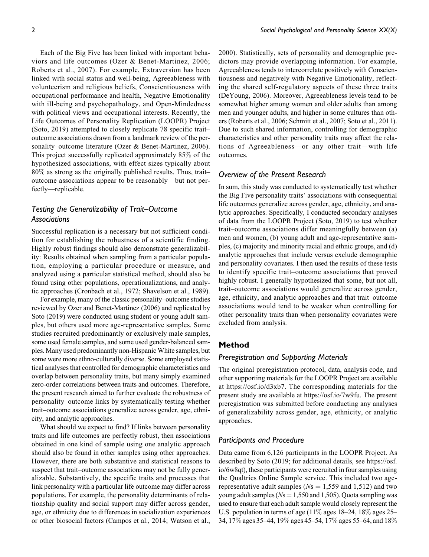Each of the Big Five has been linked with important behaviors and life outcomes (Ozer & Benet-Martinez, 2006; Roberts et al., 2007). For example, Extraversion has been linked with social status and well-being, Agreeableness with volunteerism and religious beliefs, Conscientiousness with occupational performance and health, Negative Emotionality with ill-being and psychopathology, and Open-Mindedness with political views and occupational interests. Recently, the Life Outcomes of Personality Replication (LOOPR) Project (Soto, 2019) attempted to closely replicate 78 specific trait– outcome associations drawn from a landmark review of the personality–outcome literature (Ozer & Benet-Martinez, 2006). This project successfully replicated approximately 85% of the hypothesized associations, with effect sizes typically about 80% as strong as the originally published results. Thus, trait– outcome associations appear to be reasonably—but not perfectly—replicable.

## Testing the Generalizability of Trait–Outcome Associations

Successful replication is a necessary but not sufficient condition for establishing the robustness of a scientific finding. Highly robust findings should also demonstrate generalizability: Results obtained when sampling from a particular population, employing a particular procedure or measure, and analyzed using a particular statistical method, should also be found using other populations, operationalizations, and analytic approaches (Cronbach et al., 1972; Shavelson et al., 1989).

For example, many of the classic personality–outcome studies reviewed by Ozer and Benet-Martinez (2006) and replicated by Soto (2019) were conducted using student or young adult samples, but others used more age-representative samples. Some studies recruited predominantly or exclusively male samples, some used female samples, and some used gender-balanced samples. Many used predominantly non-Hispanic White samples, but some were more ethno-culturally diverse. Some employed statistical analyses that controlled for demographic characteristics and overlap between personality traits, but many simply examined zero-order correlations between traits and outcomes. Therefore, the present research aimed to further evaluate the robustness of personality–outcome links by systematically testing whether trait–outcome associations generalize across gender, age, ethnicity, and analytic approaches.

What should we expect to find? If links between personality traits and life outcomes are perfectly robust, then associations obtained in one kind of sample using one analytic approach should also be found in other samples using other approaches. However, there are both substantive and statistical reasons to suspect that trait–outcome associations may not be fully generalizable. Substantively, the specific traits and processes that link personality with a particular life outcome may differ across populations. For example, the personality determinants of relationship quality and social support may differ across gender, age, or ethnicity due to differences in socialization experiences or other biosocial factors (Campos et al., 2014; Watson et al.,

2000). Statistically, sets of personality and demographic predictors may provide overlapping information. For example, Agreeableness tends to intercorrelate positively with Conscientiousness and negatively with Negative Emotionality, reflecting the shared self-regulatory aspects of these three traits (DeYoung, 2006). Moreover, Agreeableness levels tend to be somewhat higher among women and older adults than among men and younger adults, and higher in some cultures than others (Roberts et al., 2006; Schmitt et al., 2007; Soto et al., 2011). Due to such shared information, controlling for demographic characteristics and other personality traits may affect the relations of Agreeableness—or any other trait—with life outcomes.

#### Overview of the Present Research

In sum, this study was conducted to systematically test whether the Big Five personality traits' associations with consequential life outcomes generalize across gender, age, ethnicity, and analytic approaches. Specifically, I conducted secondary analyses of data from the LOOPR Project (Soto, 2019) to test whether trait–outcome associations differ meaningfully between (a) men and women, (b) young adult and age-representative samples, (c) majority and minority racial and ethnic groups, and (d) analytic approaches that include versus exclude demographic and personality covariates. I then used the results of these tests to identify specific trait–outcome associations that proved highly robust. I generally hypothesized that some, but not all, trait–outcome associations would generalize across gender, age, ethnicity, and analytic approaches and that trait–outcome associations would tend to be weaker when controlling for other personality traits than when personality covariates were excluded from analysis.

## Method

#### Preregistration and Supporting Materials

The original preregistration protocol, data, analysis code, and other supporting materials for the LOOPR Project are available at https://osf.io/d3xb7. The corresponding materials for the present study are available at https://osf.io/7w9fu. The present preregistration was submitted before conducting any analyses of generalizability across gender, age, ethnicity, or analytic approaches.

## Participants and Procedure

Data came from 6,126 participants in the LOOPR Project. As described by Soto (2019; for additional details, see https://osf. io/6w8qt), these participants were recruited in four samples using the Qualtrics Online Sample service. This included two agerepresentative adult samples ( $Ns = 1,559$  and 1,512) and two young adult samples ( $Ns = 1,550$  and 1,505). Quota sampling was used to ensure that each adult sample would closely represent the U.S. population in terms of age (11% ages 18–24, 18% ages 25– 34, 17% ages 35–44, 19% ages 45–54, 17% ages 55–64, and 18%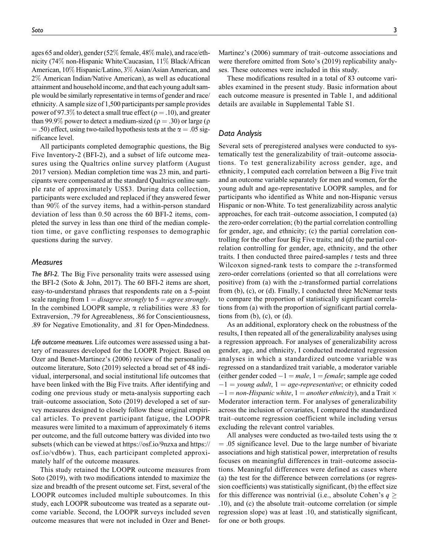ages 65 and older), gender (52% female, 48% male), and race/ethnicity (74% non-Hispanic White/Caucasian, 11% Black/African American, 10% Hispanic/Latino, 3% Asian/Asian American, and 2% American Indian/Native American), as well as educational attainment and household income, and that each young adult sample would be similarly representative in terms of gender and race/ ethnicity. A sample size of 1,500 participants per sample provides power of 97.3% to detect a small true effect ( $\rho = .10$ ), and greater than 99.9% power to detect a medium-sized ( $\rho = .30$ ) or large ( $\rho$  $(6.50)$  effect, using two-tailed hypothesis tests at the  $\alpha = .05$  significance level.

All participants completed demographic questions, the Big Five Inventory-2 (BFI-2), and a subset of life outcome measures using the Qualtrics online survey platform (August 2017 version). Median completion time was 23 min, and participants were compensated at the standard Qualtrics online sample rate of approximately US\$3. During data collection, participants were excluded and replaced if they answered fewer than 90% of the survey items, had a within-person standard deviation of less than 0.50 across the 60 BFI-2 items, completed the survey in less than one third of the median completion time, or gave conflicting responses to demographic questions during the survey.

#### **Measures**

The BFI-2. The Big Five personality traits were assessed using the BFI-2 (Soto & John, 2017). The 60 BFI-2 items are short, easy-to-understand phrases that respondents rate on a 5-point scale ranging from  $1 = disagree$  strongly to  $5 = agree$  strongly. In the combined LOOPR sample,  $\alpha$  reliabilities were .83 for Extraversion, .79 for Agreeableness, .86 for Conscientiousness, .89 for Negative Emotionality, and .81 for Open-Mindedness.

Life outcome measures. Life outcomes were assessed using a battery of measures developed for the LOOPR Project. Based on Ozer and Benet-Martinez's (2006) review of the personality– outcome literature, Soto (2019) selected a broad set of 48 individual, interpersonal, and social institutional life outcomes that have been linked with the Big Five traits. After identifying and coding one previous study or meta-analysis supporting each trait–outcome association, Soto (2019) developed a set of survey measures designed to closely follow these original empirical articles. To prevent participant fatigue, the LOOPR measures were limited to a maximum of approximately 6 items per outcome, and the full outcome battery was divided into two subsets (which can be viewed at https://osf.io/9nzxa and https:// osf.io/vdb6w). Thus, each participant completed approximately half of the outcome measures.

This study retained the LOOPR outcome measures from Soto (2019), with two modifications intended to maximize the size and breadth of the present outcome set. First, several of the LOOPR outcomes included multiple suboutcomes. In this study, each LOOPR suboutcome was treated as a separate outcome variable. Second, the LOOPR surveys included seven outcome measures that were not included in Ozer and BenetMartinez's (2006) summary of trait–outcome associations and

ses. These outcomes were included in this study. These modifications resulted in a total of 83 outcome variables examined in the present study. Basic information about each outcome measure is presented in Table 1, and additional details are available in Supplemental Table S1.

were therefore omitted from Soto's (2019) replicability analy-

#### Data Analysis

Several sets of preregistered analyses were conducted to systematically test the generalizability of trait–outcome associations. To test generalizability across gender, age, and ethnicity, I computed each correlation between a Big Five trait and an outcome variable separately for men and women, for the young adult and age-representative LOOPR samples, and for participants who identified as White and non-Hispanic versus Hispanic or non-White. To test generalizability across analytic approaches, for each trait–outcome association, I computed (a) the zero-order correlation; (b) the partial correlation controlling for gender, age, and ethnicity; (c) the partial correlation controlling for the other four Big Five traits; and (d) the partial correlation controlling for gender, age, ethnicity, and the other traits. I then conducted three paired-samples  $t$  tests and three Wilcoxon signed-rank tests to compare the z-transformed zero-order correlations (oriented so that all correlations were positive) from (a) with the z-transformed partial correlations from (b), (c), or (d). Finally, I conducted three McNemar tests to compare the proportion of statistically significant correlations from (a) with the proportion of significant partial correlations from  $(b)$ ,  $(c)$ , or  $(d)$ .

As an additional, exploratory check on the robustness of the results, I then repeated all of the generalizability analyses using a regression approach. For analyses of generalizability across gender, age, and ethnicity, I conducted moderated regression analyses in which a standardized outcome variable was regressed on a standardized trait variable, a moderator variable (either gender coded  $-1 = male$ ,  $1 = female$ ; sample age coded  $-1 =$  young adult,  $1 =$  age-representative; or ethnicity coded  $-1 =$  non-Hispanic white,  $1 =$  another ethnicity), and a Trait  $\times$ Moderator interaction term. For analyses of generalizability across the inclusion of covariates, I compared the standardized trait–outcome regression coefficient while including versus excluding the relevant control variables.

All analyses were conducted as two-tailed tests using the  $\alpha$  $= .05$  significance level. Due to the large number of bivariate associations and high statistical power, interpretation of results focuses on meaningful differences in trait–outcome associations. Meaningful differences were defined as cases where (a) the test for the difference between correlations (or regression coefficients) was statistically significant, (b) the effect size for this difference was nontrivial (i.e., absolute Cohen's  $q \geq$ .10), and (c) the absolute trait–outcome correlation (or simple regression slope) was at least .10, and statistically significant, for one or both groups.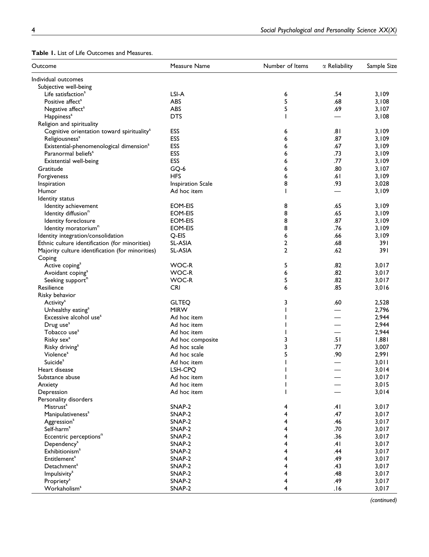| Outcome                                                                                | Measure Name             | Number of Items | $\alpha$ Reliability | Sample Size |
|----------------------------------------------------------------------------------------|--------------------------|-----------------|----------------------|-------------|
| Individual outcomes                                                                    |                          |                 |                      |             |
| Subjective well-being                                                                  |                          |                 |                      |             |
| Life satisfaction <sup>s</sup>                                                         | LSI-A                    | 6               | .54                  | 3,109       |
| Positive affect <sup>s</sup>                                                           | ABS                      | 5               | .68                  | 3,108       |
| Negative affect <sup>s</sup>                                                           | ABS                      | 5               | .69                  | 3,107       |
| Happiness <sup>s</sup>                                                                 | <b>DTS</b>               |                 |                      | 3,108       |
| Religion and spirituality                                                              |                          |                 |                      |             |
| Cognitive orientation toward spirituality <sup>s</sup>                                 | ESS                      | 6               | .81                  | 3,109       |
|                                                                                        | ESS                      | 6               | .87                  | 3,109       |
| Religiousness <sup>s</sup>                                                             | ESS                      | 6               | .67                  |             |
| Existential-phenomenological dimension <sup>5</sup><br>Paranormal beliefs <sup>s</sup> | ESS                      | 6               | .73                  | 3,109       |
|                                                                                        | ESS                      |                 | .77                  | 3,109       |
| Existential well-being                                                                 |                          | 6               |                      | 3,109       |
| Gratitude                                                                              | GQ-6                     | 6               | .80                  | 3,107       |
| Forgiveness                                                                            | <b>HFS</b>               | 6               | .61                  | 3,109       |
| Inspiration                                                                            | <b>Inspiration Scale</b> | 8               | .93                  | 3,028       |
| Humor                                                                                  | Ad hoc item              |                 |                      | 3,109       |
| Identity status                                                                        |                          |                 |                      |             |
| Identity achievement                                                                   | EOM-EIS                  | 8               | .65                  | 3,109       |
| Identity diffusion <sup>n</sup>                                                        | EOM-EIS                  | 8               | .65                  | 3,109       |
| Identity foreclosure                                                                   | EOM-EIS                  | 8               | .87                  | 3,109       |
| Identity moratorium <sup>n</sup>                                                       | <b>EOM-EIS</b>           | 8               | .76                  | 3,109       |
| Identity integration/consolidation                                                     | Q-EIS                    | 6               | .66                  | 3,109       |
| Ethnic culture identification (for minorities)                                         | SL-ASIA                  | 2               | .68                  | 391         |
| Majority culture identification (for minorities)                                       | <b>SL-ASIA</b>           | 2               | .62                  | 391         |
| Coping                                                                                 |                          |                 |                      |             |
| Active coping <sup>s</sup>                                                             | WOC-R                    | 5               | .82                  | 3,017       |
| Avoidant coping <sup>s</sup>                                                           | WOC-R                    | 6               | .82                  | 3,017       |
| Seeking support <sup>n</sup>                                                           | WOC-R                    | 5               | .82                  | 3,017       |
| Resilience                                                                             | <b>CRI</b>               | 6               | .85                  | 3,016       |
| Risky behavior                                                                         |                          |                 |                      |             |
| Activity <sup>s</sup>                                                                  | <b>GLTEQ</b>             | 3               | .60                  | 2,528       |
| Unhealthy eating <sup>s</sup>                                                          | <b>MIRW</b>              |                 |                      | 2,796       |
| Excessive alcohol use <sup>s</sup>                                                     | Ad hoc item              |                 |                      | 2,944       |
| Drug use <sup>s</sup>                                                                  | Ad hoc item              |                 |                      | 2,944       |
| Tobacco use <sup>s</sup>                                                               | Ad hoc item              |                 |                      | 2,944       |
| Risky sex <sup>s</sup>                                                                 | Ad hoc composite         | 3               | .51                  | 1,881       |
| Risky driving <sup>s</sup>                                                             | Ad hoc scale             | 3               | .77                  | 3,007       |
| Violence <sup>s</sup>                                                                  | Ad hoc scale             | 5               | .90                  | 2,991       |
| Suicide <sup>s</sup>                                                                   | Ad hoc item              |                 |                      | 3,011       |
| Heart disease                                                                          | LSH-CPQ                  |                 | —                    | 3,014       |
| Substance abuse                                                                        | Ad hoc item              |                 |                      | 3,017       |
| Anxiety                                                                                | Ad hoc item              |                 |                      | 3,015       |
| Depression                                                                             | Ad hoc item              |                 |                      | 3,014       |
| Personality disorders                                                                  |                          |                 |                      |             |
| Mistrust <sup>s</sup>                                                                  | SNAP-2                   |                 | .41                  | 3,017       |
|                                                                                        | SNAP-2                   | 4<br>4          | .47                  | 3,017       |
| Manipulativeness <sup>s</sup>                                                          |                          |                 |                      |             |
| Aggression <sup>s</sup>                                                                | SNAP-2                   | 4               | .46                  | 3,017       |
| Self-harm <sup>s</sup>                                                                 | SNAP-2                   | 4               | .70                  | 3,017       |
| Eccentric perceptions <sup>n</sup>                                                     | SNAP-2                   | 4               | .36                  | 3,017       |
| Dependency <sup>s</sup>                                                                | SNAP-2                   | 4               | .41                  | 3,017       |
| <b>Exhibitionism<sup>s</sup></b>                                                       | SNAP-2                   | 4               | .44                  | 3,017       |
| <b>Entitlement<sup>s</sup></b>                                                         | SNAP-2                   | 4               | .49                  | 3,017       |
| Detachment <sup>s</sup>                                                                | SNAP-2                   | 4               | .43                  | 3,017       |
| <b>Impulsivity</b> <sup>s</sup>                                                        | SNAP-2                   | 4               | .48                  | 3,017       |
| Propriety <sup>s</sup>                                                                 | SNAP-2                   | 4               | .49                  | 3,017       |
| Workaholism <sup>s</sup>                                                               | SNAP-2                   | 4               | .16                  | 3,017       |

## Table 1. List of Life Outcomes and Measures.

(continued)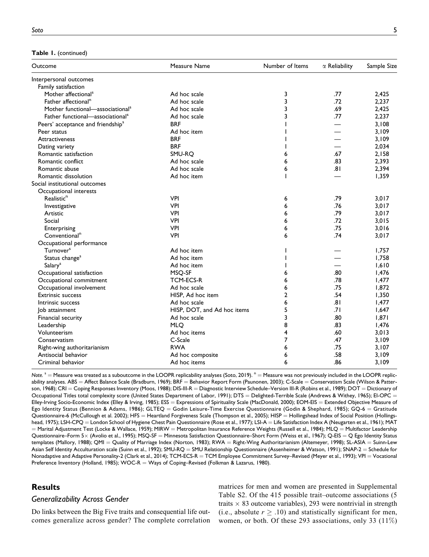Table 1. (continued)

| Outcome                                       | Measure Name                |                | $\alpha$ Reliability | Sample Size |
|-----------------------------------------------|-----------------------------|----------------|----------------------|-------------|
| Interpersonal outcomes                        |                             |                |                      |             |
| Family satisfaction                           |                             |                |                      |             |
| Mother affectional <sup>s</sup>               | Ad hoc scale                | 3              | .77                  | 2,425       |
| Father affectional <sup>n</sup>               | Ad hoc scale                | 3              | .72                  | 2,237       |
| Mother functional-associational <sup>s</sup>  | Ad hoc scale                | 3              | .69                  | 2,425       |
| Father functional—associational <sup>s</sup>  | Ad hoc scale                | 3              | .77                  | 2,237       |
| Peers' acceptance and friendship <sup>s</sup> | <b>BRF</b>                  |                |                      | 3,108       |
| Peer status                                   | Ad hoc item                 |                |                      | 3,109       |
| Attractiveness                                | <b>BRF</b>                  |                |                      | 3,109       |
| Dating variety                                | <b>BRF</b>                  |                |                      | 2,034       |
| Romantic satisfaction                         | SMU-RQ                      | 6              | .67                  | 2,158       |
| Romantic conflict                             | Ad hoc scale                | 6              | .83                  | 2,393       |
| Romantic abuse                                | Ad hoc scale                | 6              | .81                  | 2,394       |
| Romantic dissolution                          | Ad hoc item                 |                |                      | 1,359       |
| Social institutional outcomes                 |                             |                |                      |             |
| Occupational interests                        |                             |                |                      |             |
| Realistic <sup>n</sup>                        | <b>VPI</b>                  | 6              | .79                  | 3,017       |
| Investigative                                 | <b>VPI</b>                  | 6              | .76                  | 3,017       |
| Artistic                                      | <b>VPI</b>                  | 6              | .79                  | 3,017       |
| Social                                        | <b>VPI</b>                  | 6              | .72                  | 3,015       |
| Enterprising                                  | <b>VPI</b>                  | 6              | .75                  | 3,016       |
| Conventional <sup>n</sup>                     | <b>VPI</b>                  | 6              | .74                  | 3,017       |
| Occupational performance                      |                             |                |                      |             |
| Turnover <sup>s</sup>                         | Ad hoc item                 |                |                      | 1,757       |
| Status change <sup>s</sup>                    | Ad hoc item                 |                |                      | 1,758       |
| Salary <sup>s</sup>                           | Ad hoc item                 |                |                      | 1,610       |
| Occupational satisfaction                     | MSQ-SF                      | 6              | .80                  | 1,476       |
| Occupational commitment                       | <b>TCM-ECS-R</b>            | 6              | .78                  | 1,477       |
| Occupational involvement                      | Ad hoc scale                | 6              | .75                  | 1,872       |
| <b>Extrinsic success</b>                      | HISP, Ad hoc item           | $\overline{2}$ | .54                  | 1,350       |
| Intrinsic success                             | Ad hoc scale                | 6              | .81                  | 1,477       |
| Job attainment                                | HISP, DOT, and Ad hoc items | 5              | .71                  | 1,647       |
| Financial security                            | Ad hoc scale                | 3              | .80                  | 1,871       |
| Leadership                                    | <b>MLO</b>                  | 8              | .83                  | 1,476       |
| Volunteerism                                  | Ad hoc items                | 4              | .60                  | 3,013       |
| Conservatism                                  | C-Scale                     | $\overline{7}$ | .47                  | 3,109       |
| Right-wing authoritarianism                   | <b>RWA</b>                  | 6              | .75                  | 3,107       |
| Antisocial behavior                           | Ad hoc composite            | 6              | .58                  | 3,109       |
| Criminal behavior                             | Ad hoc items                | 6              | .86                  | 3,109       |

Note.  $s =$  Measure was treated as a suboutcome in the LOOPR replicability analyses (Soto, 2019).  $n =$  Measure was not previously included in the LOOPR replicability analyses. ABS = Affect Balance Scale (Bradburn, 1969); BRF = Behavior Report Form (Paunonen, 2003); C-Scale = Conservatism Scale (Wilson & Patterson, 1968); CRI = Coping Responses Inventory (Moos, 1988); DIS-III-R = Diagnostic Interview Schedule–Version III-R (Robins et al., 1989); DOT = Dictionary of Occupational Titles total complexity score (United States Department of Labor, 1991); DTS = Delighted-Terrible Scale (Andrews & Withey, 1965); EI-OPC = Elley-Irving Socio-Economic Index (Elley & Irving, 1985); ESS = Expressions of Spirituality Scale (MacDonald, 2000); EOM-EIS = Extended Objective Measure of Ego Identity Status (Bennion & Adams, 1986); GLTEQ = Godin Leisure-Time Exercise Questionnaire (Godin & Shephard, 1985); GQ-6 = Gratitude Questionnaire-6 (McCullough et al. 2002); HFS = Heartland Forgiveness Scale (Thompson et al., 2005); HISP = Hollingshead Index of Social Position (Hollingshead, 1975); LSH-CPQ = London School of Hygiene Chest Pain Questionnaire (Rose et al., 1977); LSI-A = Life Satisfaction Index A (Neugarten et al., 1961); MAT = Marital Adjustment Test (Locke & Wallace, 1959); MIRW = Metropolitan Insurance Reference Weights (Russell et al., 1984); MLQ = Multifactor Leadership Questionnaire–Form 5× (Avolio et al., 1995); MSQ-SF = Minnesota Satisfaction Questionnaire–Short Form (Weiss et al., 1967); Q-EIS = Q Ego Identity Status templates (Mallory, 1988); QMI = Quality of Marriage Index (Norton, 1983); RWA = Right-Wing Authoritarianism (Altemeyer, 1998); SL-ASIA = Suinn-Lew Asian Self Identity Acculturation scale (Suinn et al., 1992); SMU-RQ = SMU Relationship Questionnaire (Assenheimer & Watson, 1991); SNAP-2 = Schedule for Nonadaptive and Adaptive Personality-2 (Clark et al., 2014); TCM-ECS-R = TCM Employee Commitment Survey–Revised (Meyer et al., 1993); VPI = Vocational Preference Inventory (Holland, 1985); WOC-R = Ways of Coping-Revised (Folkman & Lazarus, 1980).

## **Results**

#### Generalizability Across Gender

Do links between the Big Five traits and consequential life outcomes generalize across gender? The complete correlation matrices for men and women are presented in Supplemental Table S2. Of the 415 possible trait–outcome associations (5 traits  $\times$  83 outcome variables), 293 were nontrivial in strength (i.e., absolute  $r \geq .10$ ) and statistically significant for men, women, or both. Of these 293 associations, only 33 (11%)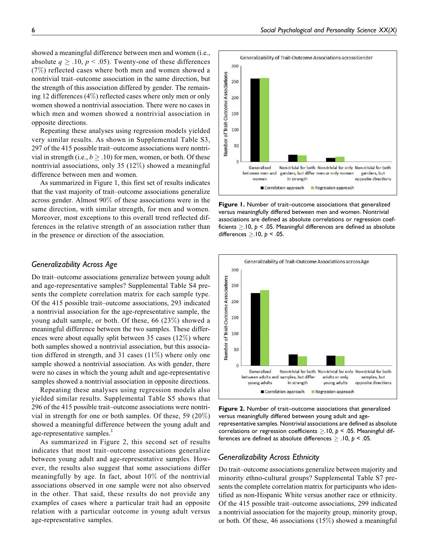showed a meaningful difference between men and women (i.e., absolute  $q \geq .10, p < .05$ ). Twenty-one of these differences (7%) reflected cases where both men and women showed a nontrivial trait–outcome association in the same direction, but the strength of this association differed by gender. The remaining 12 differences (4%) reflected cases where only men or only women showed a nontrivial association. There were no cases in which men and women showed a nontrivial association in opposite directions.

Repeating these analyses using regression models yielded very similar results. As shown in Supplemental Table S3, 297 of the 415 possible trait–outcome associations were nontrivial in strength (i.e.,  $b \geq .10$ ) for men, women, or both. Of these nontrivial associations, only 35 (12%) showed a meaningful difference between men and women.

As summarized in Figure 1, this first set of results indicates that the vast majority of trait–outcome associations generalize across gender. Almost 90% of these associations were in the same direction, with similar strength, for men and women. Moreover, most exceptions to this overall trend reflected differences in the relative strength of an association rather than in the presence or direction of the association.

## Generalizability Across Age

Do trait–outcome associations generalize between young adult and age-representative samples? Supplemental Table S4 presents the complete correlation matrix for each sample type. Of the 415 possible trait–outcome associations, 293 indicated a nontrivial association for the age-representative sample, the young adult sample, or both. Of these, 66 (23%) showed a meaningful difference between the two samples. These differences were about equally split between 35 cases (12%) where both samples showed a nontrivial association, but this association differed in strength, and 31 cases (11%) where only one sample showed a nontrivial association. As with gender, there were no cases in which the young adult and age-representative samples showed a nontrivial association in opposite directions.

Repeating these analyses using regression models also yielded similar results. Supplemental Table S5 shows that 296 of the 415 possible trait–outcome associations were nontrivial in strength for one or both samples. Of these, 59 (20%) showed a meaningful difference between the young adult and age-representative samples.<sup>1</sup>

As summarized in Figure 2, this second set of results indicates that most trait–outcome associations generalize between young adult and age-representative samples. However, the results also suggest that some associations differ meaningfully by age. In fact, about 10% of the nontrivial associations observed in one sample were not also observed in the other. That said, these results do not provide any examples of cases where a particular trait had an opposite relation with a particular outcome in young adult versus age-representative samples.



Figure 1. Number of trait–outcome associations that generalized versus meaningfully differed between men and women. Nontrivial associations are defined as absolute correlations or regression coefficients  $\geq$ .10,  $p <$ .05. Meaningful differences are defined as absolute differences  $\geq$ .10,  $p < .05$ .



Figure 2. Number of trait–outcome associations that generalized versus meaningfully differed between young adult and agerepresentative samples. Nontrivial associations are defined as absolute correlations or regression coefficients  $\geq$ .10,  $p <$ .05. Meaningful differences are defined as absolute differences  $\geq$  .10,  $p < 0.05$ .

## Generalizability Across Ethnicity

Do trait–outcome associations generalize between majority and minority ethno-cultural groups? Supplemental Table S7 presents the complete correlation matrix for participants who identified as non-Hispanic White versus another race or ethnicity. Of the 415 possible trait–outcome associations, 299 indicated a nontrivial association for the majority group, minority group, or both. Of these, 46 associations (15%) showed a meaningful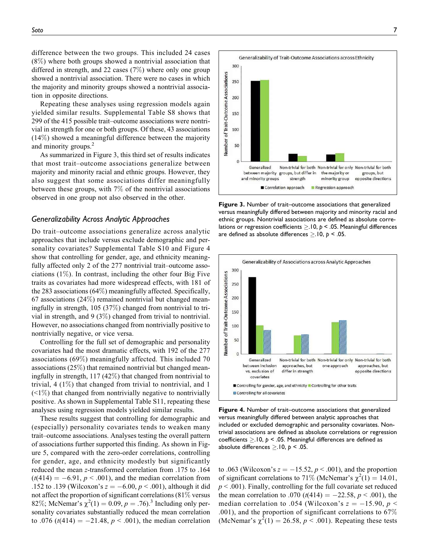Repeating these analyses using regression models again yielded similar results. Supplemental Table S8 shows that 299 of the 415 possible trait–outcome associations were nontrivial in strength for one or both groups. Of these, 43 associations (14%) showed a meaningful difference between the majority and minority groups.<sup>2</sup>

As summarized in Figure 3, this third set of results indicates that most trait–outcome associations generalize between majority and minority racial and ethnic groups. However, they also suggest that some associations differ meaningfully between these groups, with 7% of the nontrivial associations observed in one group not also observed in the other.

#### Generalizability Across Analytic Approaches

Do trait–outcome associations generalize across analytic approaches that include versus exclude demographic and personality covariates? Supplemental Table S10 and Figure 4 show that controlling for gender, age, and ethnicity meaningfully affected only 2 of the 277 nontrivial trait–outcome associations  $(1\%)$ . In contrast, including the other four Big Five traits as covariates had more widespread effects, with 181 of the 283 associations (64%) meaningfully affected. Specifically, 67 associations  $(24\%)$  remained nontrivial but changed meaningfully in strength, 105 (37%) changed from nontrivial to trivial in strength, and 9 (3%) changed from trivial to nontrivial. However, no associations changed from nontrivially positive to nontrivially negative, or vice versa.

Controlling for the full set of demographic and personality covariates had the most dramatic effects, with 192 of the 277 associations (69%) meaningfully affected. This included 70 associations (25%) that remained nontrivial but changed meaningfully in strength, 117 (42%) that changed from nontrivial to trivial,  $4(1\%)$  that changed from trivial to nontrivial, and 1  $(\leq 1\%)$  that changed from nontrivially negative to nontrivially positive. As shown in Supplemental Table S11, repeating these analyses using regression models yielded similar results.

These results suggest that controlling for demographic and (especially) personality covariates tends to weaken many trait–outcome associations. Analyses testing the overall pattern of associations further supported this finding. As shown in Figure 5, compared with the zero-order correlations, controlling for gender, age, and ethnicity modestly but significantly reduced the mean z-transformed correlation from .175 to .164  $(t(414) = -6.91, p < .001)$ , and the median correlation from .152 to .139 (Wilcoxon's  $z = -6.00, p < .001$ ), although it did not affect the proportion of significant correlations  $(81\%$  versus 82%; McNemar's  $\chi^2(1) = 0.09, p = .76$ .<sup>3</sup> Including only personality covariates substantially reduced the mean correlation to .076 ( $t(414) = -21.48$ ,  $p < .001$ ), the median correlation

Figure 3. Number of trait–outcome associations that generalized versus meaningfully differed between majority and minority racial and ethnic groups. Nontrivial associations are defined as absolute correlations or regression coefficients  $\geq$ .10,  $p <$ .05. Meaningful differences are defined as absolute differences  $\geq$ .10,  $p <$ .05.



Figure 4. Number of trait–outcome associations that generalized versus meaningfully differed between analytic approaches that included or excluded demographic and personality covariates. Nontrivial associations are defined as absolute correlations or regression coefficients  $>10$ ,  $p < 0.05$ . Meaningful differences are defined as absolute differences  $>10$ ,  $p < 0.05$ .

to .063 (Wilcoxon's  $z = -15.52$ ,  $p < .001$ ), and the proportion of significant correlations to 71% (McNemar's  $\chi^2(1) = 14.01$ ,  $p < .001$ ). Finally, controlling for the full covariate set reduced the mean correlation to .070 ( $t(414) = -22.58$ ,  $p < .001$ ), the median correlation to .054 (Wilcoxon's  $z = -15.90, p \leq$ .001), and the proportion of significant correlations to  $67\%$ (McNemar's  $\chi^2(1) = 26.58$ ,  $p < .001$ ). Repeating these tests

Generalizability of Trait-Outcome Associations across Ethnicity 300 of Trait-Outcome Associations 250 200 150 100 Number 50 Generalized Non-trivial for both Non-trivial for only Non-trivial for both between majority groups, but differ in the majority or groups, but and minority groups opposite directions strength minority group Correlation approach Regression approach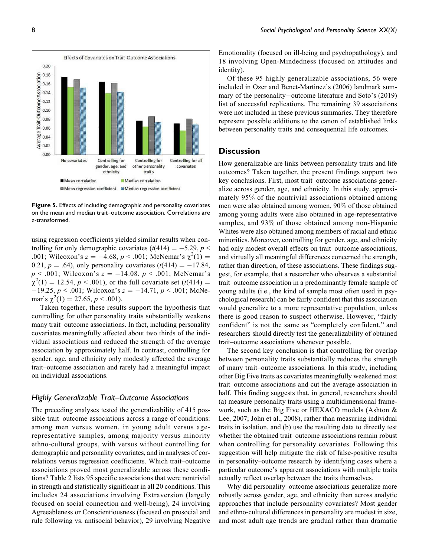

Figure 5. Effects of including demographic and personality covariates on the mean and median trait–outcome association. Correlations are z-transformed.

using regression coefficients yielded similar results when controlling for only demographic covariates  $(t(414) = -5.29, p <$ .001; Wilcoxon's  $z = -4.68$ ,  $p < .001$ ; McNemar's  $\chi^2(1) =$ 0.21,  $p = .64$ ), only personality covariates (t(414) = -17.84,  $p < .001$ ; Wilcoxon's  $z = -14.08$ ,  $p < .001$ ; McNemar's  $\chi^2(1) = 12.54, p < .001$ , or the full covariate set (t(414) =  $-19.25, p < .001$ ; Wilcoxon's  $z = -14.71, p < .001$ ; McNemar's  $\chi^2(1) = 27.65, p < .001$ ).

Taken together, these results support the hypothesis that controlling for other personality traits substantially weakens many trait–outcome associations. In fact, including personality covariates meaningfully affected about two thirds of the individual associations and reduced the strength of the average association by approximately half. In contrast, controlling for gender, age, and ethnicity only modestly affected the average trait–outcome association and rarely had a meaningful impact on individual associations.

## Highly Generalizable Trait–Outcome Associations

The preceding analyses tested the generalizability of 415 possible trait–outcome associations across a range of conditions: among men versus women, in young adult versus agerepresentative samples, among majority versus minority ethno-cultural groups, with versus without controlling for demographic and personality covariates, and in analyses of correlations versus regression coefficients. Which trait–outcome associations proved most generalizable across these conditions? Table 2 lists 95 specific associations that were nontrivial in strength and statistically significant in all 20 conditions. This includes 24 associations involving Extraversion (largely focused on social connection and well-being), 24 involving Agreeableness or Conscientiousness (focused on prosocial and rule following vs. antisocial behavior), 29 involving Negative

Emotionality (focused on ill-being and psychopathology), and 18 involving Open-Mindedness (focused on attitudes and identity).

Of these 95 highly generalizable associations, 56 were included in Ozer and Benet-Martinez's (2006) landmark summary of the personality-outcome literature and Soto's (2019) list of successful replications. The remaining 39 associations were not included in these previous summaries. They therefore represent possible additions to the canon of established links between personality traits and consequential life outcomes.

## **Discussion**

How generalizable are links between personality traits and life outcomes? Taken together, the present findings support two key conclusions. First, most trait–outcome associations generalize across gender, age, and ethnicity. In this study, approximately 95% of the nontrivial associations obtained among men were also obtained among women, 90% of those obtained among young adults were also obtained in age-representative samples, and 93% of those obtained among non-Hispanic Whites were also obtained among members of racial and ethnic minorities. Moreover, controlling for gender, age, and ethnicity had only modest overall effects on trait–outcome associations, and virtually all meaningful differences concerned the strength, rather than direction, of these associations. These findings suggest, for example, that a researcher who observes a substantial trait–outcome association in a predominantly female sample of young adults (i.e., the kind of sample most often used in psychological research) can be fairly confident that this association would generalize to a more representative population, unless there is good reason to suspect otherwise. However, "fairly confident" is not the same as "completely confident," and researchers should directly test the generalizability of obtained trait–outcome associations whenever possible.

The second key conclusion is that controlling for overlap between personality traits substantially reduces the strength of many trait–outcome associations. In this study, including other Big Five traits as covariates meaningfully weakened most trait–outcome associations and cut the average association in half. This finding suggests that, in general, researchers should (a) measure personality traits using a multidimensional framework, such as the Big Five or HEXACO models (Ashton & Lee, 2007; John et al., 2008), rather than measuring individual traits in isolation, and (b) use the resulting data to directly test whether the obtained trait–outcome associations remain robust when controlling for personality covariates. Following this suggestion will help mitigate the risk of false-positive results in personality–outcome research by identifying cases where a particular outcome's apparent associations with multiple traits actually reflect overlap between the traits themselves.

Why did personality–outcome associations generalize more robustly across gender, age, and ethnicity than across analytic approaches that include personality covariates? Most gender and ethno-cultural differences in personality are modest in size, and most adult age trends are gradual rather than dramatic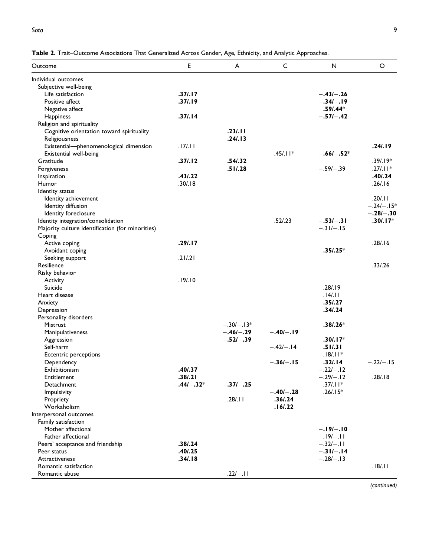| Individual outcomes<br>Subjective well-being<br>Life satisfaction<br>.37/.17<br>$-.43/-.26$<br>.37/.19<br>Positive affect<br>$-.34/-.19$<br>$.59/0.44*$<br>Negative affect<br>.37/.14<br>$-.57$ / $-.42$<br>Happiness<br>Religion and spirituality<br>.23/.11<br>Cognitive orientation toward spirituality<br>.24/.13<br>Religiousness<br>Existential-phenomenological dimension<br>.17/.11<br>$.45/.11*$<br>Existential well-being<br>$-.66$ l $-.52*$<br>.37/.12<br>.54/0.32<br>Gratitude<br>.51/0.28<br>Forgiveness<br>$-.59/-.39$<br>.43/.22<br>Inspiration<br>.30/.18<br>Humor<br>Identity status<br>Identity achievement<br>Identity diffusion<br>Identity foreclosure<br>.52/.23<br>Identity integration/consolidation<br>$-.53/-.31$<br>$-.31/-.15$<br>Majority culture identification (for minorities)<br>Coping<br>.291.17<br>Active coping<br>$.35/0.25*$<br>Avoidant coping<br>.21/0.21<br>Seeking support<br>Resilience<br>Risky behavior<br>.19/.10<br>Activity<br>.28/.19<br>Suicide<br>.14/.11<br>Heart disease<br>.35/0.27<br>Anxiety<br>.34/0.24<br>Depression<br>Personality disorders<br>$-.30/-.13*$<br>$.38/0.26*$<br><b>Mistrust</b><br>$-.46/-.29$<br>$-.40/-.19$<br>Manipulativeness<br>$-.52/-.39$<br>$.30/.17*$<br>Aggression<br>Self-harm<br>$-.42/-.14$<br>.51/.31<br>$.18/.11*$<br>Eccentric perceptions<br>$-.36/-.15$<br>.32/.14<br>Dependency<br>.40/.37<br>$-.22/-.12$<br>Exhibitionism<br>.38/.21<br>$-.29/-.12$<br>Entitlement<br>$-.44/-.32*$<br>$-.37/-.25$<br>$.37/.11*$<br>Detachment<br>$-.40/-.28$<br>$.26/.15*$<br>Impulsivity<br>.28/.11<br>.361.24<br>Propriety<br>Workaholism<br>.16/0.22<br>Interpersonal outcomes<br>Family satisfaction<br>$-.19/-.10$<br>Mother affectional<br>Father affectional<br>$-.19/-.11$<br>.38/0.24<br>$-.32/-.11$<br>Peers' acceptance and friendship<br>.40/.25<br>$-.31/-.14$<br>Peer status<br>.34/.18<br>$-.28/-.13$<br><b>Attractiveness</b><br>Romantic satisfaction | Outcome        | E | A           | C | N | $\circ$      |
|--------------------------------------------------------------------------------------------------------------------------------------------------------------------------------------------------------------------------------------------------------------------------------------------------------------------------------------------------------------------------------------------------------------------------------------------------------------------------------------------------------------------------------------------------------------------------------------------------------------------------------------------------------------------------------------------------------------------------------------------------------------------------------------------------------------------------------------------------------------------------------------------------------------------------------------------------------------------------------------------------------------------------------------------------------------------------------------------------------------------------------------------------------------------------------------------------------------------------------------------------------------------------------------------------------------------------------------------------------------------------------------------------------------------------------------------------------------------------------------------------------------------------------------------------------------------------------------------------------------------------------------------------------------------------------------------------------------------------------------------------------------------------------------------------------------------------------------------------------------------------------------------------------------------------------------------------------|----------------|---|-------------|---|---|--------------|
|                                                                                                                                                                                                                                                                                                                                                                                                                                                                                                                                                                                                                                                                                                                                                                                                                                                                                                                                                                                                                                                                                                                                                                                                                                                                                                                                                                                                                                                                                                                                                                                                                                                                                                                                                                                                                                                                                                                                                        |                |   |             |   |   |              |
|                                                                                                                                                                                                                                                                                                                                                                                                                                                                                                                                                                                                                                                                                                                                                                                                                                                                                                                                                                                                                                                                                                                                                                                                                                                                                                                                                                                                                                                                                                                                                                                                                                                                                                                                                                                                                                                                                                                                                        |                |   |             |   |   |              |
|                                                                                                                                                                                                                                                                                                                                                                                                                                                                                                                                                                                                                                                                                                                                                                                                                                                                                                                                                                                                                                                                                                                                                                                                                                                                                                                                                                                                                                                                                                                                                                                                                                                                                                                                                                                                                                                                                                                                                        |                |   |             |   |   |              |
|                                                                                                                                                                                                                                                                                                                                                                                                                                                                                                                                                                                                                                                                                                                                                                                                                                                                                                                                                                                                                                                                                                                                                                                                                                                                                                                                                                                                                                                                                                                                                                                                                                                                                                                                                                                                                                                                                                                                                        |                |   |             |   |   |              |
|                                                                                                                                                                                                                                                                                                                                                                                                                                                                                                                                                                                                                                                                                                                                                                                                                                                                                                                                                                                                                                                                                                                                                                                                                                                                                                                                                                                                                                                                                                                                                                                                                                                                                                                                                                                                                                                                                                                                                        |                |   |             |   |   |              |
|                                                                                                                                                                                                                                                                                                                                                                                                                                                                                                                                                                                                                                                                                                                                                                                                                                                                                                                                                                                                                                                                                                                                                                                                                                                                                                                                                                                                                                                                                                                                                                                                                                                                                                                                                                                                                                                                                                                                                        |                |   |             |   |   |              |
|                                                                                                                                                                                                                                                                                                                                                                                                                                                                                                                                                                                                                                                                                                                                                                                                                                                                                                                                                                                                                                                                                                                                                                                                                                                                                                                                                                                                                                                                                                                                                                                                                                                                                                                                                                                                                                                                                                                                                        |                |   |             |   |   |              |
|                                                                                                                                                                                                                                                                                                                                                                                                                                                                                                                                                                                                                                                                                                                                                                                                                                                                                                                                                                                                                                                                                                                                                                                                                                                                                                                                                                                                                                                                                                                                                                                                                                                                                                                                                                                                                                                                                                                                                        |                |   |             |   |   |              |
|                                                                                                                                                                                                                                                                                                                                                                                                                                                                                                                                                                                                                                                                                                                                                                                                                                                                                                                                                                                                                                                                                                                                                                                                                                                                                                                                                                                                                                                                                                                                                                                                                                                                                                                                                                                                                                                                                                                                                        |                |   |             |   |   |              |
|                                                                                                                                                                                                                                                                                                                                                                                                                                                                                                                                                                                                                                                                                                                                                                                                                                                                                                                                                                                                                                                                                                                                                                                                                                                                                                                                                                                                                                                                                                                                                                                                                                                                                                                                                                                                                                                                                                                                                        |                |   |             |   |   | $.24$ . 19   |
|                                                                                                                                                                                                                                                                                                                                                                                                                                                                                                                                                                                                                                                                                                                                                                                                                                                                                                                                                                                                                                                                                                                                                                                                                                                                                                                                                                                                                                                                                                                                                                                                                                                                                                                                                                                                                                                                                                                                                        |                |   |             |   |   |              |
|                                                                                                                                                                                                                                                                                                                                                                                                                                                                                                                                                                                                                                                                                                                                                                                                                                                                                                                                                                                                                                                                                                                                                                                                                                                                                                                                                                                                                                                                                                                                                                                                                                                                                                                                                                                                                                                                                                                                                        |                |   |             |   |   | $.39/.19*$   |
|                                                                                                                                                                                                                                                                                                                                                                                                                                                                                                                                                                                                                                                                                                                                                                                                                                                                                                                                                                                                                                                                                                                                                                                                                                                                                                                                                                                                                                                                                                                                                                                                                                                                                                                                                                                                                                                                                                                                                        |                |   |             |   |   | $.27/.11*$   |
|                                                                                                                                                                                                                                                                                                                                                                                                                                                                                                                                                                                                                                                                                                                                                                                                                                                                                                                                                                                                                                                                                                                                                                                                                                                                                                                                                                                                                                                                                                                                                                                                                                                                                                                                                                                                                                                                                                                                                        |                |   |             |   |   | .401.24      |
|                                                                                                                                                                                                                                                                                                                                                                                                                                                                                                                                                                                                                                                                                                                                                                                                                                                                                                                                                                                                                                                                                                                                                                                                                                                                                                                                                                                                                                                                                                                                                                                                                                                                                                                                                                                                                                                                                                                                                        |                |   |             |   |   | .26/.16      |
|                                                                                                                                                                                                                                                                                                                                                                                                                                                                                                                                                                                                                                                                                                                                                                                                                                                                                                                                                                                                                                                                                                                                                                                                                                                                                                                                                                                                                                                                                                                                                                                                                                                                                                                                                                                                                                                                                                                                                        |                |   |             |   |   |              |
|                                                                                                                                                                                                                                                                                                                                                                                                                                                                                                                                                                                                                                                                                                                                                                                                                                                                                                                                                                                                                                                                                                                                                                                                                                                                                                                                                                                                                                                                                                                                                                                                                                                                                                                                                                                                                                                                                                                                                        |                |   |             |   |   | .20/.11      |
|                                                                                                                                                                                                                                                                                                                                                                                                                                                                                                                                                                                                                                                                                                                                                                                                                                                                                                                                                                                                                                                                                                                                                                                                                                                                                                                                                                                                                                                                                                                                                                                                                                                                                                                                                                                                                                                                                                                                                        |                |   |             |   |   | $-.24/-.15*$ |
|                                                                                                                                                                                                                                                                                                                                                                                                                                                                                                                                                                                                                                                                                                                                                                                                                                                                                                                                                                                                                                                                                                                                                                                                                                                                                                                                                                                                                                                                                                                                                                                                                                                                                                                                                                                                                                                                                                                                                        |                |   |             |   |   | $-.28/-.30$  |
|                                                                                                                                                                                                                                                                                                                                                                                                                                                                                                                                                                                                                                                                                                                                                                                                                                                                                                                                                                                                                                                                                                                                                                                                                                                                                                                                                                                                                                                                                                                                                                                                                                                                                                                                                                                                                                                                                                                                                        |                |   |             |   |   | $.30/.17*$   |
|                                                                                                                                                                                                                                                                                                                                                                                                                                                                                                                                                                                                                                                                                                                                                                                                                                                                                                                                                                                                                                                                                                                                                                                                                                                                                                                                                                                                                                                                                                                                                                                                                                                                                                                                                                                                                                                                                                                                                        |                |   |             |   |   |              |
|                                                                                                                                                                                                                                                                                                                                                                                                                                                                                                                                                                                                                                                                                                                                                                                                                                                                                                                                                                                                                                                                                                                                                                                                                                                                                                                                                                                                                                                                                                                                                                                                                                                                                                                                                                                                                                                                                                                                                        |                |   |             |   |   |              |
|                                                                                                                                                                                                                                                                                                                                                                                                                                                                                                                                                                                                                                                                                                                                                                                                                                                                                                                                                                                                                                                                                                                                                                                                                                                                                                                                                                                                                                                                                                                                                                                                                                                                                                                                                                                                                                                                                                                                                        |                |   |             |   |   | .28/.16      |
|                                                                                                                                                                                                                                                                                                                                                                                                                                                                                                                                                                                                                                                                                                                                                                                                                                                                                                                                                                                                                                                                                                                                                                                                                                                                                                                                                                                                                                                                                                                                                                                                                                                                                                                                                                                                                                                                                                                                                        |                |   |             |   |   |              |
|                                                                                                                                                                                                                                                                                                                                                                                                                                                                                                                                                                                                                                                                                                                                                                                                                                                                                                                                                                                                                                                                                                                                                                                                                                                                                                                                                                                                                                                                                                                                                                                                                                                                                                                                                                                                                                                                                                                                                        |                |   |             |   |   |              |
|                                                                                                                                                                                                                                                                                                                                                                                                                                                                                                                                                                                                                                                                                                                                                                                                                                                                                                                                                                                                                                                                                                                                                                                                                                                                                                                                                                                                                                                                                                                                                                                                                                                                                                                                                                                                                                                                                                                                                        |                |   |             |   |   | .33/.26      |
|                                                                                                                                                                                                                                                                                                                                                                                                                                                                                                                                                                                                                                                                                                                                                                                                                                                                                                                                                                                                                                                                                                                                                                                                                                                                                                                                                                                                                                                                                                                                                                                                                                                                                                                                                                                                                                                                                                                                                        |                |   |             |   |   |              |
|                                                                                                                                                                                                                                                                                                                                                                                                                                                                                                                                                                                                                                                                                                                                                                                                                                                                                                                                                                                                                                                                                                                                                                                                                                                                                                                                                                                                                                                                                                                                                                                                                                                                                                                                                                                                                                                                                                                                                        |                |   |             |   |   |              |
|                                                                                                                                                                                                                                                                                                                                                                                                                                                                                                                                                                                                                                                                                                                                                                                                                                                                                                                                                                                                                                                                                                                                                                                                                                                                                                                                                                                                                                                                                                                                                                                                                                                                                                                                                                                                                                                                                                                                                        |                |   |             |   |   |              |
|                                                                                                                                                                                                                                                                                                                                                                                                                                                                                                                                                                                                                                                                                                                                                                                                                                                                                                                                                                                                                                                                                                                                                                                                                                                                                                                                                                                                                                                                                                                                                                                                                                                                                                                                                                                                                                                                                                                                                        |                |   |             |   |   |              |
|                                                                                                                                                                                                                                                                                                                                                                                                                                                                                                                                                                                                                                                                                                                                                                                                                                                                                                                                                                                                                                                                                                                                                                                                                                                                                                                                                                                                                                                                                                                                                                                                                                                                                                                                                                                                                                                                                                                                                        |                |   |             |   |   |              |
|                                                                                                                                                                                                                                                                                                                                                                                                                                                                                                                                                                                                                                                                                                                                                                                                                                                                                                                                                                                                                                                                                                                                                                                                                                                                                                                                                                                                                                                                                                                                                                                                                                                                                                                                                                                                                                                                                                                                                        |                |   |             |   |   |              |
|                                                                                                                                                                                                                                                                                                                                                                                                                                                                                                                                                                                                                                                                                                                                                                                                                                                                                                                                                                                                                                                                                                                                                                                                                                                                                                                                                                                                                                                                                                                                                                                                                                                                                                                                                                                                                                                                                                                                                        |                |   |             |   |   |              |
|                                                                                                                                                                                                                                                                                                                                                                                                                                                                                                                                                                                                                                                                                                                                                                                                                                                                                                                                                                                                                                                                                                                                                                                                                                                                                                                                                                                                                                                                                                                                                                                                                                                                                                                                                                                                                                                                                                                                                        |                |   |             |   |   |              |
|                                                                                                                                                                                                                                                                                                                                                                                                                                                                                                                                                                                                                                                                                                                                                                                                                                                                                                                                                                                                                                                                                                                                                                                                                                                                                                                                                                                                                                                                                                                                                                                                                                                                                                                                                                                                                                                                                                                                                        |                |   |             |   |   |              |
|                                                                                                                                                                                                                                                                                                                                                                                                                                                                                                                                                                                                                                                                                                                                                                                                                                                                                                                                                                                                                                                                                                                                                                                                                                                                                                                                                                                                                                                                                                                                                                                                                                                                                                                                                                                                                                                                                                                                                        |                |   |             |   |   |              |
|                                                                                                                                                                                                                                                                                                                                                                                                                                                                                                                                                                                                                                                                                                                                                                                                                                                                                                                                                                                                                                                                                                                                                                                                                                                                                                                                                                                                                                                                                                                                                                                                                                                                                                                                                                                                                                                                                                                                                        |                |   |             |   |   |              |
|                                                                                                                                                                                                                                                                                                                                                                                                                                                                                                                                                                                                                                                                                                                                                                                                                                                                                                                                                                                                                                                                                                                                                                                                                                                                                                                                                                                                                                                                                                                                                                                                                                                                                                                                                                                                                                                                                                                                                        |                |   |             |   |   |              |
|                                                                                                                                                                                                                                                                                                                                                                                                                                                                                                                                                                                                                                                                                                                                                                                                                                                                                                                                                                                                                                                                                                                                                                                                                                                                                                                                                                                                                                                                                                                                                                                                                                                                                                                                                                                                                                                                                                                                                        |                |   |             |   |   | $-.22/-.15$  |
|                                                                                                                                                                                                                                                                                                                                                                                                                                                                                                                                                                                                                                                                                                                                                                                                                                                                                                                                                                                                                                                                                                                                                                                                                                                                                                                                                                                                                                                                                                                                                                                                                                                                                                                                                                                                                                                                                                                                                        |                |   |             |   |   |              |
|                                                                                                                                                                                                                                                                                                                                                                                                                                                                                                                                                                                                                                                                                                                                                                                                                                                                                                                                                                                                                                                                                                                                                                                                                                                                                                                                                                                                                                                                                                                                                                                                                                                                                                                                                                                                                                                                                                                                                        |                |   |             |   |   | .28/.18      |
|                                                                                                                                                                                                                                                                                                                                                                                                                                                                                                                                                                                                                                                                                                                                                                                                                                                                                                                                                                                                                                                                                                                                                                                                                                                                                                                                                                                                                                                                                                                                                                                                                                                                                                                                                                                                                                                                                                                                                        |                |   |             |   |   |              |
|                                                                                                                                                                                                                                                                                                                                                                                                                                                                                                                                                                                                                                                                                                                                                                                                                                                                                                                                                                                                                                                                                                                                                                                                                                                                                                                                                                                                                                                                                                                                                                                                                                                                                                                                                                                                                                                                                                                                                        |                |   |             |   |   |              |
|                                                                                                                                                                                                                                                                                                                                                                                                                                                                                                                                                                                                                                                                                                                                                                                                                                                                                                                                                                                                                                                                                                                                                                                                                                                                                                                                                                                                                                                                                                                                                                                                                                                                                                                                                                                                                                                                                                                                                        |                |   |             |   |   |              |
|                                                                                                                                                                                                                                                                                                                                                                                                                                                                                                                                                                                                                                                                                                                                                                                                                                                                                                                                                                                                                                                                                                                                                                                                                                                                                                                                                                                                                                                                                                                                                                                                                                                                                                                                                                                                                                                                                                                                                        |                |   |             |   |   |              |
|                                                                                                                                                                                                                                                                                                                                                                                                                                                                                                                                                                                                                                                                                                                                                                                                                                                                                                                                                                                                                                                                                                                                                                                                                                                                                                                                                                                                                                                                                                                                                                                                                                                                                                                                                                                                                                                                                                                                                        |                |   |             |   |   |              |
|                                                                                                                                                                                                                                                                                                                                                                                                                                                                                                                                                                                                                                                                                                                                                                                                                                                                                                                                                                                                                                                                                                                                                                                                                                                                                                                                                                                                                                                                                                                                                                                                                                                                                                                                                                                                                                                                                                                                                        |                |   |             |   |   |              |
|                                                                                                                                                                                                                                                                                                                                                                                                                                                                                                                                                                                                                                                                                                                                                                                                                                                                                                                                                                                                                                                                                                                                                                                                                                                                                                                                                                                                                                                                                                                                                                                                                                                                                                                                                                                                                                                                                                                                                        |                |   |             |   |   |              |
|                                                                                                                                                                                                                                                                                                                                                                                                                                                                                                                                                                                                                                                                                                                                                                                                                                                                                                                                                                                                                                                                                                                                                                                                                                                                                                                                                                                                                                                                                                                                                                                                                                                                                                                                                                                                                                                                                                                                                        |                |   |             |   |   |              |
|                                                                                                                                                                                                                                                                                                                                                                                                                                                                                                                                                                                                                                                                                                                                                                                                                                                                                                                                                                                                                                                                                                                                                                                                                                                                                                                                                                                                                                                                                                                                                                                                                                                                                                                                                                                                                                                                                                                                                        |                |   |             |   |   |              |
|                                                                                                                                                                                                                                                                                                                                                                                                                                                                                                                                                                                                                                                                                                                                                                                                                                                                                                                                                                                                                                                                                                                                                                                                                                                                                                                                                                                                                                                                                                                                                                                                                                                                                                                                                                                                                                                                                                                                                        |                |   |             |   |   |              |
|                                                                                                                                                                                                                                                                                                                                                                                                                                                                                                                                                                                                                                                                                                                                                                                                                                                                                                                                                                                                                                                                                                                                                                                                                                                                                                                                                                                                                                                                                                                                                                                                                                                                                                                                                                                                                                                                                                                                                        |                |   |             |   |   |              |
|                                                                                                                                                                                                                                                                                                                                                                                                                                                                                                                                                                                                                                                                                                                                                                                                                                                                                                                                                                                                                                                                                                                                                                                                                                                                                                                                                                                                                                                                                                                                                                                                                                                                                                                                                                                                                                                                                                                                                        |                |   |             |   |   | .18/.11      |
|                                                                                                                                                                                                                                                                                                                                                                                                                                                                                                                                                                                                                                                                                                                                                                                                                                                                                                                                                                                                                                                                                                                                                                                                                                                                                                                                                                                                                                                                                                                                                                                                                                                                                                                                                                                                                                                                                                                                                        | Romantic abuse |   | $-.22/-.11$ |   |   |              |

Table 2. Trait–Outcome Associations That Generalized Across Gender, Age, Ethnicity, and Analytic Approaches.

(continued)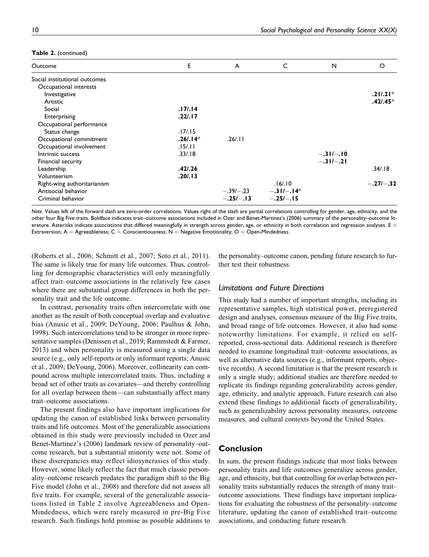| Outcome                       | E         | A           | C            | N           | O           |
|-------------------------------|-----------|-------------|--------------|-------------|-------------|
| Social institutional outcomes |           |             |              |             |             |
| Occupational interests        |           |             |              |             |             |
| Investigative                 |           |             |              |             | $.21/.21*$  |
| Artistic                      |           |             |              |             | $.42/0.45*$ |
| Social                        | .17/14    |             |              |             |             |
| Enterprising                  | .22/.17   |             |              |             |             |
| Occupational performance      |           |             |              |             |             |
| Status change                 | .17/0.15  |             |              |             |             |
| Occupational commitment       | $.26/14*$ | .26/.11     |              |             |             |
| Occupational involvement      | .15/.11   |             |              |             |             |
| Intrinsic success             | .33/.18   |             |              | $-.31/-.10$ |             |
| Financial security            |           |             |              | $-.31/-.21$ |             |
| Leadership                    | .42/0.26  |             |              |             | .34/.18     |
| Volunteerism                  | .20/.13   |             |              |             |             |
| Right-wing authoritarianism   |           |             | .16/10       |             | $-.27I-.32$ |
| Antisocial behavior           |           | $-.39/-.23$ | $-.31/-.14*$ |             |             |
| Criminal behavior             |           | $-.25/-.13$ | $-.25/-.15$  |             |             |

#### Table 2. (continued)

Note. Values left of the forward slash are zero-order correlations. Values right of the slash are partial correlations controlling for gender, age, ethnicity, and the other four Big Five traits. Boldface indicates trait–outcome associations included in Ozer and Benet-Martinez's (2006) summary of the personality–outcome literature. Asterisks indicate associations that differed meaningfully in strength across gender, age, or ethnicity in both correlation and regression analyses.  $E =$ Extraversion;  $A =$  Agreeableness; C = Conscientiousness; N = Negative Emotionality; O = Open-Mindedness.

(Roberts et al., 2006; Schmitt et al., 2007; Soto et al., 2011). The same is likely true for many life outcomes. Thus, controlling for demographic characteristics will only meaningfully affect trait–outcome associations in the relatively few cases where there are substantial group differences in both the personality trait and the life outcome.

In contrast, personality traits often intercorrelate with one another as the result of both conceptual overlap and evaluative bias (Anusic et al., 2009; DeYoung, 2006; Paulhus & John, 1998). Such intercorrelations tend to be stronger in more representative samples (Denissen et al., 2019; Rammstedt & Farmer, 2013) and when personality is measured using a single data source (e.g., only self-reports or only informant reports; Anusic et al., 2009; DeYoung, 2006). Moreover, collinearity can compound across multiple intercorrelated traits. Thus, including a broad set of other traits as covariates—and thereby controlling for all overlap between them—can substantially affect many trait–outcome associations.

The present findings also have important implications for updating the canon of established links between personality traits and life outcomes. Most of the generalizable associations obtained in this study were previously included in Ozer and Benet-Martinez's (2006) landmark review of personality–outcome research, but a substantial minority were not. Some of these discrepancies may reflect idiosyncrasies of this study. However, some likely reflect the fact that much classic personality–outcome research predates the paradigm shift to the Big Five model (John et al., 2008) and therefore did not assess all five traits. For example, several of the generalizable associations listed in Table 2 involve Agreeableness and Open-Mindedness, which were rarely measured in pre-Big Five research. Such findings hold promise as possible additions to

the personality–outcome canon, pending future research to further test their robustness.

## Limitations and Future Directions

This study had a number of important strengths, including its representative samples, high statistical power, preregistered design and analyses, consensus measure of the Big Five traits, and broad range of life outcomes. However, it also had some noteworthy limitations. For example, it relied on selfreported, cross-sectional data. Additional research is therefore needed to examine longitudinal trait–outcome associations, as well as alternative data sources (e.g., informant reports, objective records). A second limitation is that the present research is only a single study; additional studies are therefore needed to replicate its findings regarding generalizability across gender, age, ethnicity, and analytic approach. Future research can also extend these findings to additional facets of generalizability, such as generalizability across personality measures, outcome measures, and cultural contexts beyond the United States.

#### Conclusion

In sum, the present findings indicate that most links between personality traits and life outcomes generalize across gender, age, and ethnicity, but that controlling for overlap between personality traits substantially reduces the strength of many trait– outcome associations. These findings have important implications for evaluating the robustness of the personality–outcome literature, updating the canon of established trait–outcome associations, and conducting future research.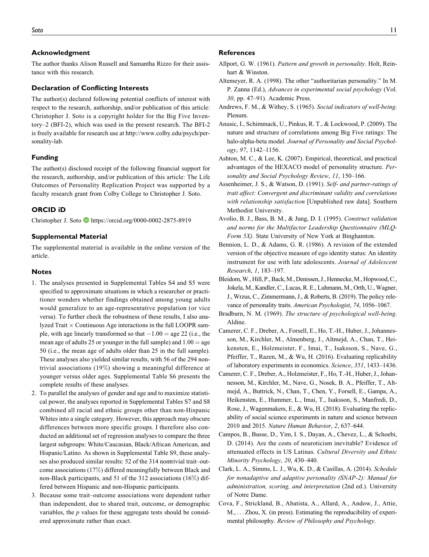#### Acknowledgment

The author thanks Alison Russell and Samantha Rizzo for their assistance with this research.

#### Declaration of Conflicting Interests

The author(s) declared following potential conflicts of interest with respect to the research, authorship, and/or publication of this article: Christopher J. Soto is a copyright holder for the Big Five Inventory–2 (BFI-2), which was used in the present research. The BFI-2 is freely available for research use at http://www.colby.edu/psych/personality-lab.

#### Funding

The author(s) disclosed receipt of the following financial support for the research, authorship, and/or publication of this article: The Life Outcomes of Personality Replication Project was supported by a faculty research grant from Colby College to Christopher J. Soto.

#### ORCID iD

Christopher J. Soto **https://orcid.org/0000-0002-2875-8919** 

#### Supplemental Material

The supplemental material is available in the online version of the article.

#### **Notes**

- 1. The analyses presented in Supplemental Tables S4 and S5 were specified to approximate situations in which a researcher or practitioner wonders whether findings obtained among young adults would generalize to an age-representative population (or vice versa). To further check the robustness of these results, I also analyzed Trait  $\times$  Continuous Age interactions in the full LOOPR sample, with age linearly transformed so that  $-1.00 =$  age 22 (i.e., the mean age of adults 25 or younger in the full sample) and  $1.00 =$  age 50 (i.e., the mean age of adults older than 25 in the full sample). These analyses also yielded similar results, with 56 of the 294 nontrivial associations (19%) showing a meaningful difference at younger versus older ages. Supplemental Table S6 presents the complete results of these analyses.
- 2. To parallel the analyses of gender and age and to maximize statistical power, the analyses reported in Supplemental Tables S7 and S8 combined all racial and ethnic groups other than non-Hispanic Whites into a single category. However, this approach may obscure differences between more specific groups. I therefore also conducted an additional set of regression analyses to compare the three largest subgroups: White/Caucasian, Black/African American, and Hispanic/Latino. As shown in Supplemental Table S9, these analyses also produced similar results: 52 of the 314 nontrivial trait–outcome associations (17%) differed meaningfully between Black and non-Black participants, and 51 of the 312 associations (16%) differed between Hispanic and non-Hispanic participants.
- 3. Because some trait–outcome associations were dependent rather than independent, due to shared trait, outcome, or demographic variables, the p values for these aggregate tests should be considered approximate rather than exact.

#### References

- Allport, G. W. (1961). Pattern and growth in personality. Holt, Reinhart & Winston.
- Altemeyer, R. A. (1998). The other "authoritarian personality." In M. P. Zanna (Ed.), Advances in experimental social psychology (Vol. 30, pp. 47–91). Academic Press.
- Andrews, F. M., & Withey, S. (1965). Social indicators of well-being. Plenum.
- Anusic, I., Schimmack, U., Pinkus, R. T., & Lockwood, P. (2009). The nature and structure of correlations among Big Five ratings: The halo-alpha-beta model. Journal of Personality and Social Psychology, 97, 1142–1156.
- Ashton, M. C., & Lee, K. (2007). Empirical, theoretical, and practical advantages of the HEXACO model of personality structure. Personality and Social Psychology Review, 11, 150–166.
- Assenheimer, J. S., & Watson, D. (1991). Self- and partner-ratings of trait affect: Convergent and discriminant validity and correlations with relationship satisfaction [Unpublished raw data]. Southern Methodist University.
- Avolio, B. J., Bass, B. M., & Jung, D. I. (1995). Construct validation and norms for the Multifactor Leadership Questionnaire (MLQ-Form 5X). State University of New York at Binghamton.
- Bennion, L. D., & Adams, G. R. (1986). A revision of the extended version of the objective measure of ego identity status: An identity instrument for use with late adolescents. Journal of Adolescent Research, 1, 183–197.
- Bleidorn,W., Hill, P.,Back,M., Denissen, J., Hennecke,M., Hopwood, C., Jokela, M., Kandler, C., Lucas, R. E., Luhmann, M., Orth, U., Wagner, J., Wrzus, C., Zimmermann, J., & Roberts, B. (2019). The policy relevance of personality traits. American Psychologist, 74, 1056–1067.
- Bradburn, N. M. (1969). The structure of psychological well-being. Aldine.
- Camerer, C. F., Dreber, A., Forsell, E., Ho, T.-H., Huber, J., Johannesson, M., Kirchler, M., Almenberg, J., Altmejd, A., Chan, T., Heikensten, E., Holzmeister, F., Imai, T., Isaksson, S., Nave, G., Pfeiffer, T., Razen, M., & Wu, H. (2016). Evaluating replicability of laboratory experiments in economics. Science, 351, 1433–1436.
- Camerer, C. F., Dreber, A., Holzmeister, F., Ho, T.-H., Huber, J., Johannesson, M., Kirchler, M., Nave, G., Nosek, B. A., Pfeiffer, T., Altmejd, A., Buttrick, N., Chan, T., Chen, Y., Forsell, E., Gampa, A., Heikensten, E., Hummer, L., Imai, T., Isaksson, S., Manfredi, D., Rose, J., Wagenmakers, E., & Wu, H. (2018). Evaluating the replicability of social science experiments in nature and science between 2010 and 2015. Nature Human Behavior, 2, 637–644.
- Campos, B., Busse, D., Yim, I. S., Dayan, A., Chevez, L., & Schoebi, D. (2014). Are the costs of neuroticism inevitable? Evidence of attenuated effects in US Latinas. Cultural Diversity and Ethnic Minority Psychology, 20, 430–440.
- Clark, L. A., Simms, L. J., Wu, K. D., & Casillas, A. (2014). Schedule for nonadaptive and adaptive personality (SNAP-2): Manual for administration, scoring, and interpretation (2nd ed.). University of Notre Dame.
- Cova, F., Strickland, B., Abatista, A., Allard, A., Andow, J., Attie, M., ... Zhou, X. (in press). Estimating the reproducibility of experimental philosophy. Review of Philosophy and Psychology.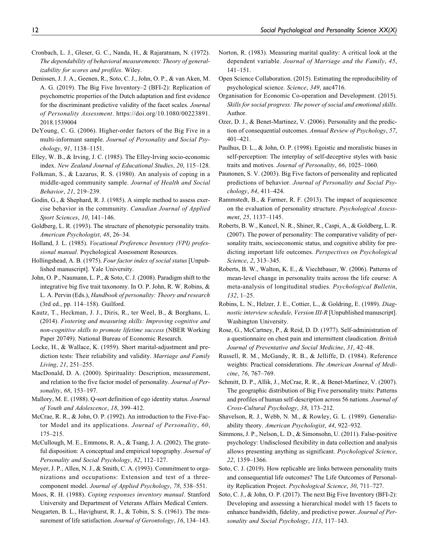- Cronbach, L. J., Gleser, G. C., Nanda, H., & Rajaratnam, N. (1972). The dependability of behavioral measurements: Theory of generalizability for scores and profiles. Wiley.
- Denissen, J. J. A., Geenen, R., Soto, C. J., John, O. P., & van Aken, M. A. G. (2019). The Big Five Inventory–2 (BFI-2): Replication of psychometric properties of the Dutch adaptation and first evidence for the discriminant predictive validity of the facet scales. Journal of Personality Assessment. https://doi.org/10.1080/00223891. 2018.1539004
- DeYoung, C. G. (2006). Higher-order factors of the Big Five in a multi-informant sample. Journal of Personality and Social Psychology, 91, 1138–1151.
- Elley, W. B., & Irving, J. C. (1985). The Elley-Irving socio-economic index. New Zealand Journal of Educational Studies, 20, 115–128.
- Folkman, S., & Lazarus, R. S. (1980). An analysis of coping in a middle-aged community sample. Journal of Health and Social Behavior, 21, 219–239.
- Godin, G., & Shephard, R. J. (1985). A simple method to assess exercise behavior in the community. Canadian Journal of Applied Sport Sciences, 10, 141–146.
- Goldberg, L. R. (1993). The structure of phenotypic personality traits. American Psychologist, 48, 26–34.
- Holland, J. L. (1985). Vocational Preference Inventory (VPI) professional manual. Psychological Assessment Resources.
- Hollingshead, A. B. (1975). Four factor index of social status [Unpublished manuscript]. Yale University.
- John, O. P., Naumann, L. P., & Soto, C. J. (2008). Paradigm shift to the integrative big five trait taxonomy. In O. P. John, R. W. Robins, & L. A. Pervin (Eds.), Handbook of personality: Theory and research (3rd ed., pp. 114–158). Guilford.
- Kautz, T., Heckman, J. J., Diris, R., ter Weel, B., & Borghans, L. (2014). Fostering and measuring skills: Improving cognitive and non-cognitive skills to promote lifetime success (NBER Working Paper 20749). National Bureau of Economic Research.
- Locke, H., & Wallace, K. (1959). Short marital-adjustment and prediction tests: Their reliability and validity. Marriage and Family Living, 21, 251–255.
- MacDonald, D. A. (2000). Spirituality: Description, measurement, and relation to the five factor model of personality. Journal of Personality, 68, 153–197.
- Mallory, M. E. (1988). Q-sort definition of ego identity status. Journal of Youth and Adolescence, 18, 399–412.
- McCrae, R. R., & John, O. P. (1992). An introduction to the Five-Factor Model and its applications. Journal of Personality, 60, 175–215.
- McCullough, M. E., Emmons, R. A., & Tsang, J. A. (2002). The grateful disposition: A conceptual and empirical topography. Journal of Personality and Social Psychology, 82, 112–127.
- Meyer, J. P., Allen, N. J., & Smith, C. A. (1993). Commitment to organizations and occupations: Extension and test of a threecomponent model. Journal of Applied Psychology, 78, 538–551.
- Moos, R. H. (1988). Coping responses inventory manual. Stanford University and Department of Veterans Affairs Medical Centers.
- Neugarten, B. L., Havighurst, R. J., & Tobin, S. S. (1961). The measurement of life satisfaction. Journal of Gerontology, 16, 134–143.
- Norton, R. (1983). Measuring marital quality: A critical look at the dependent variable. Journal of Marriage and the Family, 45, 141–151.
- Open Science Collaboration. (2015). Estimating the reproducibility of psychological science. Science, 349, aac4716.
- Organisation for Economic Co-operation and Development. (2015). Skills for social progress: The power of social and emotional skills. Author.
- Ozer, D. J., & Benet-Martinez, V. (2006). Personality and the prediction of consequential outcomes. Annual Review of Psychology, 57, 401–421.
- Paulhus, D. L., & John, O. P. (1998). Egoistic and moralistic biases in self-perception: The interplay of self-deceptive styles with basic traits and motives. Journal of Personality, 66, 1025–1060.
- Paunonen, S. V. (2003). Big Five factors of personality and replicated predictions of behavior. Journal of Personality and Social Psychology, 84, 411–424.
- Rammstedt, B., & Farmer, R. F. (2013). The impact of acquiescence on the evaluation of personality structure. Psychological Assessment, 25, 1137–1145.
- Roberts, B. W., Kuncel, N. R., Shiner, R., Caspi, A., & Goldberg, L. R. (2007). The power of personality: The comparative validity of personality traits, socioeconomic status, and cognitive ability for predicting important life outcomes. Perspectives on Psychological Science, 2, 313–345.
- Roberts, B. W., Walton, K. E., & Viechtbauer, W. (2006). Patterns of mean-level change in personality traits across the life course: A meta-analysis of longitudinal studies. Psychological Bulletin, 132, 1–25.
- Robins, L. N., Helzer, J. E., Cottier, L., & Goldring, E. (1989). Diagnostic interview schedule, Version III-R [Unpublished manuscript]. Washington University.
- Rose, G., McCartney, P., & Reid, D. D. (1977). Self-administration of a questionnaire on chest pain and intermittent claudication. British Journal of Preventative and Social Medicine, 31, 42–48.
- Russell, R. M., McGandy, R. B., & Jelliffe, D. (1984). Reference weights: Practical considerations. The American Journal of Medicine, 76, 767–769.
- Schmitt, D. P., Allik, J., McCrae, R. R., & Benet-Martínez, V. (2007). The geographic distribution of Big Five personality traits: Patterns and profiles of human self-description across 56 nations. Journal of Cross-Cultural Psychology, 38, 173–212.
- Shavelson, R. J., Webb, N. M., & Rowley, G. L. (1989). Generalizability theory. American Psychologist, 44, 922–932.
- Simmons, J. P., Nelson, L. D., & Simonsohn, U. (2011). False-positive psychology: Undisclosed flexibility in data collection and analysis allows presenting anything as significant. Psychological Science, 22, 1359–1366.
- Soto, C. J. (2019). How replicable are links between personality traits and consequential life outcomes? The Life Outcomes of Personality Replication Project. Psychological Science, 30, 711–727.
- Soto, C. J., & John, O. P. (2017). The next Big Five Inventory (BFI-2): Developing and assessing a hierarchical model with 15 facets to enhance bandwidth, fidelity, and predictive power. Journal of Personality and Social Psychology, 113, 117–143.